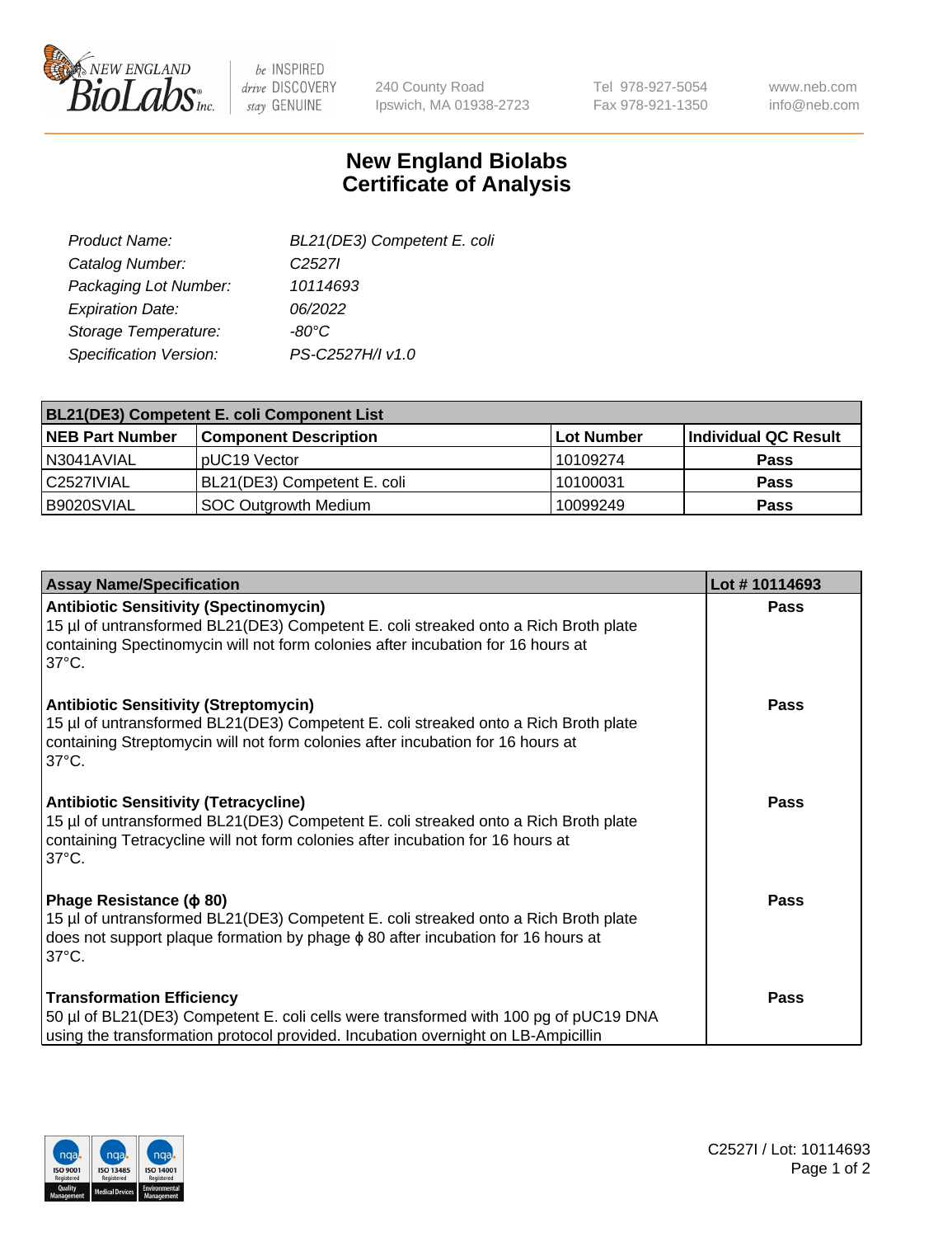

be INSPIRED drive DISCOVERY stay GENUINE

240 County Road Ipswich, MA 01938-2723 Tel 978-927-5054 Fax 978-921-1350

www.neb.com info@neb.com

## **New England Biolabs Certificate of Analysis**

| BL21(DE3) Competent E. coli |
|-----------------------------|
| C <sub>2527</sub>           |
| 10114693                    |
| 06/2022                     |
| $-80^{\circ}$ C             |
| PS-C2527H/I v1.0            |
|                             |

| <b>BL21(DE3) Competent E. coli Component List</b> |                              |             |                      |  |
|---------------------------------------------------|------------------------------|-------------|----------------------|--|
| <b>NEB Part Number</b>                            | <b>Component Description</b> | ∣Lot Number | Individual QC Result |  |
| N3041AVIAL                                        | pUC19 Vector                 | 10109274    | <b>Pass</b>          |  |
| l C2527IVIAL                                      | BL21(DE3) Competent E. coli  | 10100031    | <b>Pass</b>          |  |
| B9020SVIAL                                        | SOC Outgrowth Medium         | 10099249    | <b>Pass</b>          |  |

| <b>Assay Name/Specification</b>                                                                                                                                                                                                           | Lot #10114693 |
|-------------------------------------------------------------------------------------------------------------------------------------------------------------------------------------------------------------------------------------------|---------------|
| <b>Antibiotic Sensitivity (Spectinomycin)</b><br>15 µl of untransformed BL21(DE3) Competent E. coli streaked onto a Rich Broth plate<br>containing Spectinomycin will not form colonies after incubation for 16 hours at<br>37°C.         | <b>Pass</b>   |
| <b>Antibiotic Sensitivity (Streptomycin)</b><br>15 µl of untransformed BL21(DE3) Competent E. coli streaked onto a Rich Broth plate<br>containing Streptomycin will not form colonies after incubation for 16 hours at<br>$37^{\circ}$ C. | Pass          |
| <b>Antibiotic Sensitivity (Tetracycline)</b><br>15 µl of untransformed BL21(DE3) Competent E. coli streaked onto a Rich Broth plate<br>containing Tetracycline will not form colonies after incubation for 16 hours at<br>$37^{\circ}$ C. | Pass          |
| Phage Resistance ( $\phi$ 80)<br>15 µl of untransformed BL21(DE3) Competent E. coli streaked onto a Rich Broth plate<br>does not support plaque formation by phage $\phi$ 80 after incubation for 16 hours at<br>$37^{\circ}$ C.          | <b>Pass</b>   |
| <b>Transformation Efficiency</b><br>50 µl of BL21(DE3) Competent E. coli cells were transformed with 100 pg of pUC19 DNA<br>using the transformation protocol provided. Incubation overnight on LB-Ampicillin                             | Pass          |